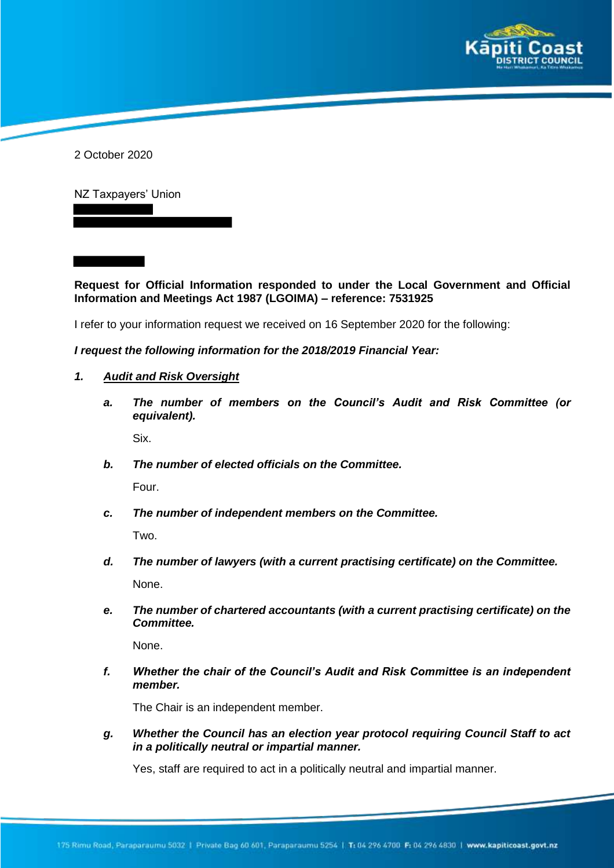

2 October 2020

NZ Taxpayers' Union

**Request for Official Information responded to under the Local Government and Official Information and Meetings Act 1987 (LGOIMA) – reference: 7531925**

I refer to your information request we received on 16 September 2020 for the following:

## *I request the following information for the 2018/2019 Financial Year:*

- *1. Audit and Risk Oversight*
	- *a. The number of members on the Council's Audit and Risk Committee (or equivalent).*

Six.

*b. The number of elected officials on the Committee.*

Four.

*c. The number of independent members on the Committee.*

Two.

- *d. The number of lawyers (with a current practising certificate) on the Committee.* None.
- *e. The number of chartered accountants (with a current practising certificate) on the Committee.*

None.

*f. Whether the chair of the Council's Audit and Risk Committee is an independent member.*

The Chair is an independent member.

*g. Whether the Council has an election year protocol requiring Council Staff to act in a politically neutral or impartial manner.*

Yes, staff are required to act in a politically neutral and impartial manner.